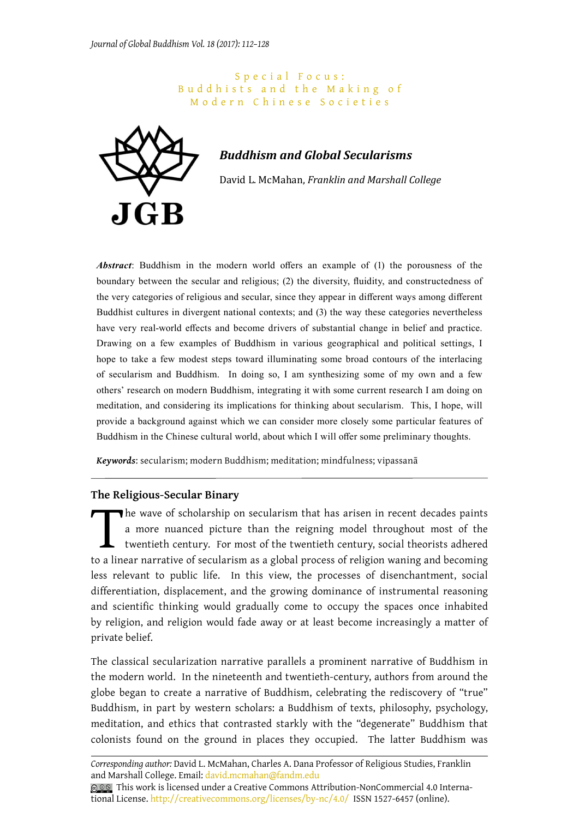### S p e c i a l F o c u s : Buddhists and the Making of Modern Chinese Societies



# *Buddhism and Global Secularisms*

David L. McMahan, *Franklin and Marshall College*

*Abstract*: Buddhism in the modern world offers an example of (1) the porousness of the boundary between the secular and religious; (2) the diversity, fluidity, and constructedness of the very categories of religious and secular, since they appear in different ways among different Buddhist cultures in divergent national contexts; and (3) the way these categories nevertheless have very real-world effects and become drivers of substantial change in belief and practice. Drawing on a few examples of Buddhism in various geographical and political settings, I hope to take a few modest steps toward illuminating some broad contours of the interlacing of secularism and Buddhism. In doing so, I am synthesizing some of my own and a few others' research on modern Buddhism, integrating it with some current research I am doing on meditation, and considering its implications for thinking about secularism. This, I hope, will provide a background against which we can consider more closely some particular features of Buddhism in the Chinese cultural world, about which I will offer some preliminary thoughts.

*Keywords*: secularism; modern Buddhism; meditation; mindfulness; vipassanā

#### **The Religious-Secular Binary**

The wave of scholarship on secularism that has arisen in recent decades paints<br>a more nuanced picture than the reigning model throughout most of the<br>twentieth century. For most of the twentieth century, social theorists ad a more nuanced picture than the reigning model throughout most of the twentieth century. For most of the twentieth century, social theorists adhered to a linear narrative of secularism as a global process of religion waning and becoming less relevant to public life. In this view, the processes of disenchantment, social differentiation, displacement, and the growing dominance of instrumental reasoning and scientific thinking would gradually come to occupy the spaces once inhabited by religion, and religion would fade away or at least become increasingly a matter of private belief.

The classical secularization narrative parallels a prominent narrative of Buddhism in the modern world. In the nineteenth and twentieth-century, authors from around the globe began to create a narrative of Buddhism, celebrating the rediscovery of "true" Buddhism, in part by western scholars: a Buddhism of texts, philosophy, psychology, meditation, and ethics that contrasted starkly with the "degenerate" Buddhism that colonists found on the ground in places they occupied. The latter Buddhism was

*Corresponding author:* David L. McMahan, Charles A. Dana Professor of Religious Studies, Franklin and Marshall College. Email: david.mcmahan@fandm.edu

This work is licensed under a Creative Commons Attribution-NonCommercial 4.0 International License. http://creativecommons.org/licenses/by-nc/4.0/ ISSN 1527-6457 (online).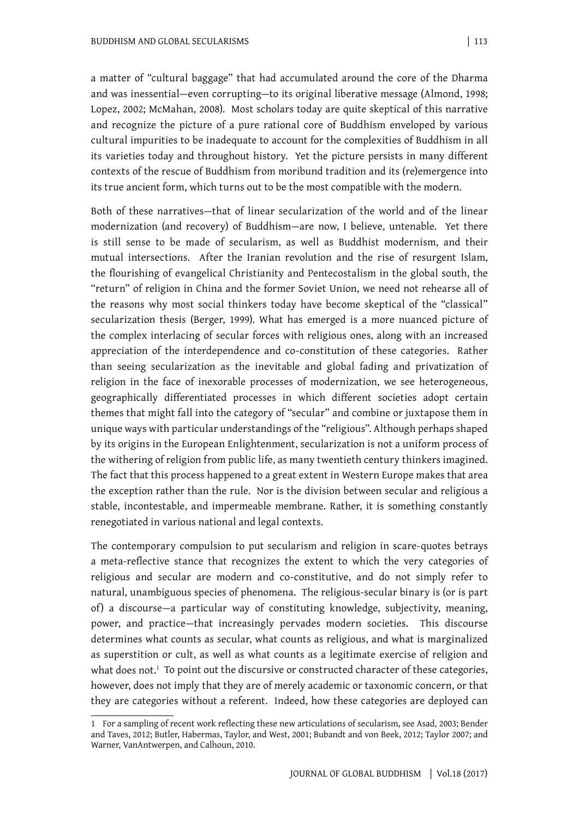a matter of "cultural baggage" that had accumulated around the core of the Dharma and was inessential—even corrupting—to its original liberative message (Almond, 1998; Lopez, 2002; McMahan, 2008). Most scholars today are quite skeptical of this narrative and recognize the picture of a pure rational core of Buddhism enveloped by various cultural impurities to be inadequate to account for the complexities of Buddhism in all its varieties today and throughout history. Yet the picture persists in many different contexts of the rescue of Buddhism from moribund tradition and its (re)emergence into its true ancient form, which turns out to be the most compatible with the modern.

Both of these narratives—that of linear secularization of the world and of the linear modernization (and recovery) of Buddhism—are now, I believe, untenable. Yet there is still sense to be made of secularism, as well as Buddhist modernism, and their mutual intersections. After the Iranian revolution and the rise of resurgent Islam, the flourishing of evangelical Christianity and Pentecostalism in the global south, the "return" of religion in China and the former Soviet Union, we need not rehearse all of the reasons why most social thinkers today have become skeptical of the "classical" secularization thesis (Berger, 1999). What has emerged is a more nuanced picture of the complex interlacing of secular forces with religious ones, along with an increased appreciation of the interdependence and co-constitution of these categories. Rather than seeing secularization as the inevitable and global fading and privatization of religion in the face of inexorable processes of modernization, we see heterogeneous, geographically differentiated processes in which different societies adopt certain themes that might fall into the category of "secular" and combine or juxtapose them in unique ways with particular understandings of the "religious". Although perhaps shaped by its origins in the European Enlightenment, secularization is not a uniform process of the withering of religion from public life, as many twentieth century thinkers imagined. The fact that this process happened to a great extent in Western Europe makes that area the exception rather than the rule. Nor is the division between secular and religious a stable, incontestable, and impermeable membrane. Rather, it is something constantly renegotiated in various national and legal contexts.

The contemporary compulsion to put secularism and religion in scare-quotes betrays a meta-reflective stance that recognizes the extent to which the very categories of religious and secular are modern and co-constitutive, and do not simply refer to natural, unambiguous species of phenomena. The religious-secular binary is (or is part of) a discourse—a particular way of constituting knowledge, subjectivity, meaning, power, and practice—that increasingly pervades modern societies. This discourse determines what counts as secular, what counts as religious, and what is marginalized as superstition or cult, as well as what counts as a legitimate exercise of religion and what does not.<sup>1</sup> To point out the discursive or constructed character of these categories, however, does not imply that they are of merely academic or taxonomic concern, or that they are categories without a referent. Indeed, how these categories are deployed can

<sup>1</sup> For a sampling of recent work reflecting these new articulations of secularism, see Asad, 2003; Bender and Taves, 2012; Butler, Habermas, Taylor, and West, 2001; Bubandt and von Beek, 2012; Taylor 2007; and Warner, VanAntwerpen, and Calhoun, 2010.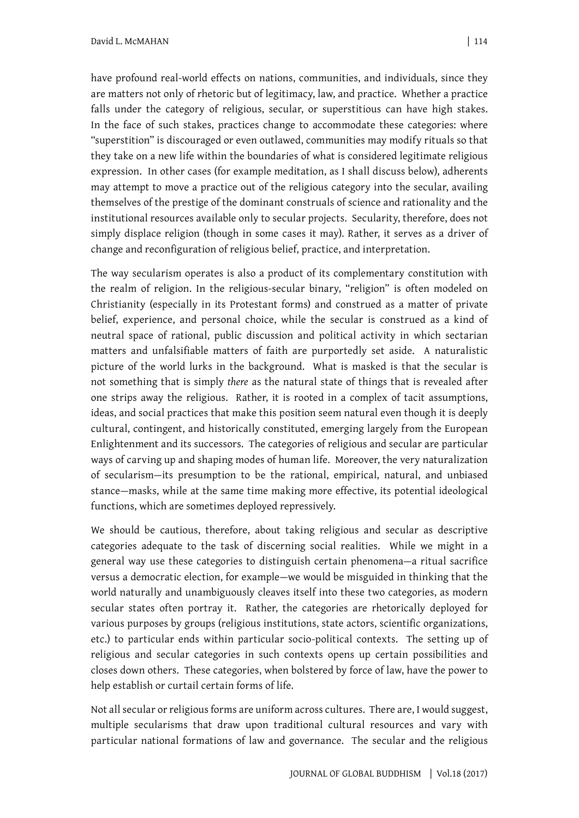have profound real-world effects on nations, communities, and individuals, since they are matters not only of rhetoric but of legitimacy, law, and practice. Whether a practice falls under the category of religious, secular, or superstitious can have high stakes. In the face of such stakes, practices change to accommodate these categories: where "superstition" is discouraged or even outlawed, communities may modify rituals so that they take on a new life within the boundaries of what is considered legitimate religious expression. In other cases (for example meditation, as I shall discuss below), adherents may attempt to move a practice out of the religious category into the secular, availing themselves of the prestige of the dominant construals of science and rationality and the institutional resources available only to secular projects. Secularity, therefore, does not simply displace religion (though in some cases it may). Rather, it serves as a driver of change and reconfiguration of religious belief, practice, and interpretation.

The way secularism operates is also a product of its complementary constitution with the realm of religion. In the religious-secular binary, "religion" is often modeled on Christianity (especially in its Protestant forms) and construed as a matter of private belief, experience, and personal choice, while the secular is construed as a kind of neutral space of rational, public discussion and political activity in which sectarian matters and unfalsifiable matters of faith are purportedly set aside. A naturalistic picture of the world lurks in the background. What is masked is that the secular is not something that is simply *there* as the natural state of things that is revealed after one strips away the religious. Rather, it is rooted in a complex of tacit assumptions, ideas, and social practices that make this position seem natural even though it is deeply cultural, contingent, and historically constituted, emerging largely from the European Enlightenment and its successors. The categories of religious and secular are particular ways of carving up and shaping modes of human life. Moreover, the very naturalization of secularism—its presumption to be the rational, empirical, natural, and unbiased stance—masks, while at the same time making more effective, its potential ideological functions, which are sometimes deployed repressively.

We should be cautious, therefore, about taking religious and secular as descriptive categories adequate to the task of discerning social realities. While we might in a general way use these categories to distinguish certain phenomena—a ritual sacrifice versus a democratic election, for example—we would be misguided in thinking that the world naturally and unambiguously cleaves itself into these two categories, as modern secular states often portray it. Rather, the categories are rhetorically deployed for various purposes by groups (religious institutions, state actors, scientific organizations, etc.) to particular ends within particular socio-political contexts. The setting up of religious and secular categories in such contexts opens up certain possibilities and closes down others. These categories, when bolstered by force of law, have the power to help establish or curtail certain forms of life.

Not all secular or religious forms are uniform across cultures. There are, I would suggest, multiple secularisms that draw upon traditional cultural resources and vary with particular national formations of law and governance. The secular and the religious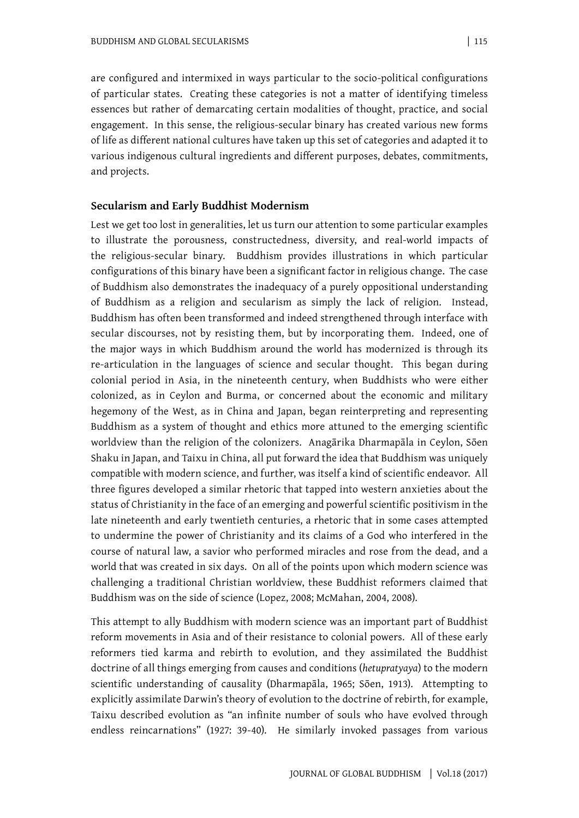are configured and intermixed in ways particular to the socio-political configurations of particular states. Creating these categories is not a matter of identifying timeless essences but rather of demarcating certain modalities of thought, practice, and social engagement. In this sense, the religious-secular binary has created various new forms of life as different national cultures have taken up this set of categories and adapted it to various indigenous cultural ingredients and different purposes, debates, commitments, and projects.

### **Secularism and Early Buddhist Modernism**

Lest we get too lost in generalities, let us turn our attention to some particular examples to illustrate the porousness, constructedness, diversity, and real-world impacts of the religious-secular binary. Buddhism provides illustrations in which particular configurations of this binary have been a significant factor in religious change. The case of Buddhism also demonstrates the inadequacy of a purely oppositional understanding of Buddhism as a religion and secularism as simply the lack of religion. Instead, Buddhism has often been transformed and indeed strengthened through interface with secular discourses, not by resisting them, but by incorporating them. Indeed, one of the major ways in which Buddhism around the world has modernized is through its re-articulation in the languages of science and secular thought. This began during colonial period in Asia, in the nineteenth century, when Buddhists who were either colonized, as in Ceylon and Burma, or concerned about the economic and military hegemony of the West, as in China and Japan, began reinterpreting and representing Buddhism as a system of thought and ethics more attuned to the emerging scientific worldview than the religion of the colonizers. Anagārika Dharmapāla in Ceylon, Sōen Shaku in Japan, and Taixu in China, all put forward the idea that Buddhism was uniquely compatible with modern science, and further, was itself a kind of scientific endeavor. All three figures developed a similar rhetoric that tapped into western anxieties about the status of Christianity in the face of an emerging and powerful scientific positivism in the late nineteenth and early twentieth centuries, a rhetoric that in some cases attempted to undermine the power of Christianity and its claims of a God who interfered in the course of natural law, a savior who performed miracles and rose from the dead, and a world that was created in six days. On all of the points upon which modern science was challenging a traditional Christian worldview, these Buddhist reformers claimed that Buddhism was on the side of science (Lopez, 2008; McMahan, 2004, 2008).

This attempt to ally Buddhism with modern science was an important part of Buddhist reform movements in Asia and of their resistance to colonial powers. All of these early reformers tied karma and rebirth to evolution, and they assimilated the Buddhist doctrine of all things emerging from causes and conditions (*hetupratyaya*) to the modern scientific understanding of causality (Dharmapāla, 1965; Sōen, 1913). Attempting to explicitly assimilate Darwin's theory of evolution to the doctrine of rebirth, for example, Taixu described evolution as "an infinite number of souls who have evolved through endless reincarnations" (1927: 39-40). He similarly invoked passages from various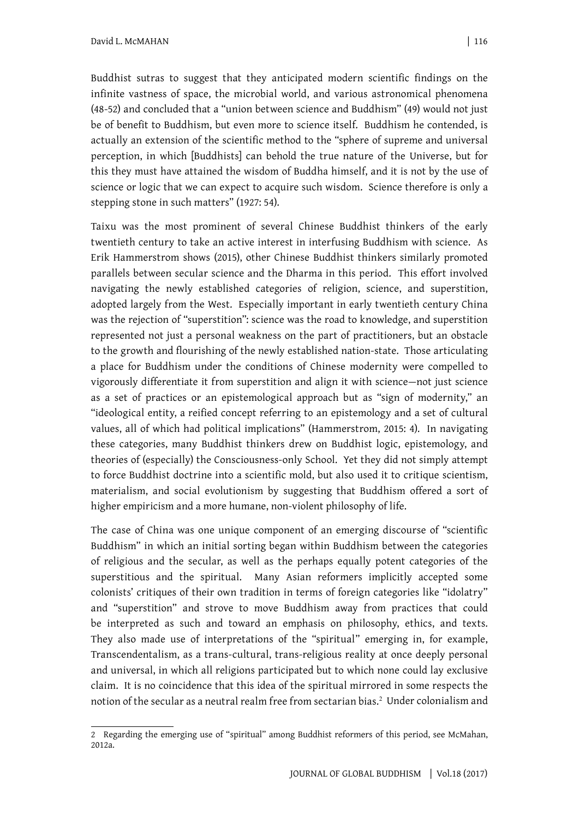Buddhist sutras to suggest that they anticipated modern scientific findings on the infinite vastness of space, the microbial world, and various astronomical phenomena (48-52) and concluded that a "union between science and Buddhism" (49) would not just be of benefit to Buddhism, but even more to science itself. Buddhism he contended, is actually an extension of the scientific method to the "sphere of supreme and universal perception, in which [Buddhists] can behold the true nature of the Universe, but for this they must have attained the wisdom of Buddha himself, and it is not by the use of science or logic that we can expect to acquire such wisdom. Science therefore is only a stepping stone in such matters" (1927: 54).

Taixu was the most prominent of several Chinese Buddhist thinkers of the early twentieth century to take an active interest in interfusing Buddhism with science. As Erik Hammerstrom shows (2015), other Chinese Buddhist thinkers similarly promoted parallels between secular science and the Dharma in this period. This effort involved navigating the newly established categories of religion, science, and superstition, adopted largely from the West. Especially important in early twentieth century China was the rejection of "superstition": science was the road to knowledge, and superstition represented not just a personal weakness on the part of practitioners, but an obstacle to the growth and flourishing of the newly established nation-state. Those articulating a place for Buddhism under the conditions of Chinese modernity were compelled to vigorously differentiate it from superstition and align it with science—not just science as a set of practices or an epistemological approach but as "sign of modernity," an "ideological entity, a reified concept referring to an epistemology and a set of cultural values, all of which had political implications" (Hammerstrom, 2015: 4). In navigating these categories, many Buddhist thinkers drew on Buddhist logic, epistemology, and theories of (especially) the Consciousness-only School. Yet they did not simply attempt to force Buddhist doctrine into a scientific mold, but also used it to critique scientism, materialism, and social evolutionism by suggesting that Buddhism offered a sort of higher empiricism and a more humane, non-violent philosophy of life.

The case of China was one unique component of an emerging discourse of "scientific Buddhism" in which an initial sorting began within Buddhism between the categories of religious and the secular, as well as the perhaps equally potent categories of the superstitious and the spiritual. Many Asian reformers implicitly accepted some colonists' critiques of their own tradition in terms of foreign categories like "idolatry" and "superstition" and strove to move Buddhism away from practices that could be interpreted as such and toward an emphasis on philosophy, ethics, and texts. They also made use of interpretations of the "spiritual" emerging in, for example, Transcendentalism, as a trans-cultural, trans-religious reality at once deeply personal and universal, in which all religions participated but to which none could lay exclusive claim. It is no coincidence that this idea of the spiritual mirrored in some respects the notion of the secular as a neutral realm free from sectarian bias.<sup>2</sup> Under colonialism and

<sup>2</sup> Regarding the emerging use of "spiritual" among Buddhist reformers of this period, see McMahan, 2012a.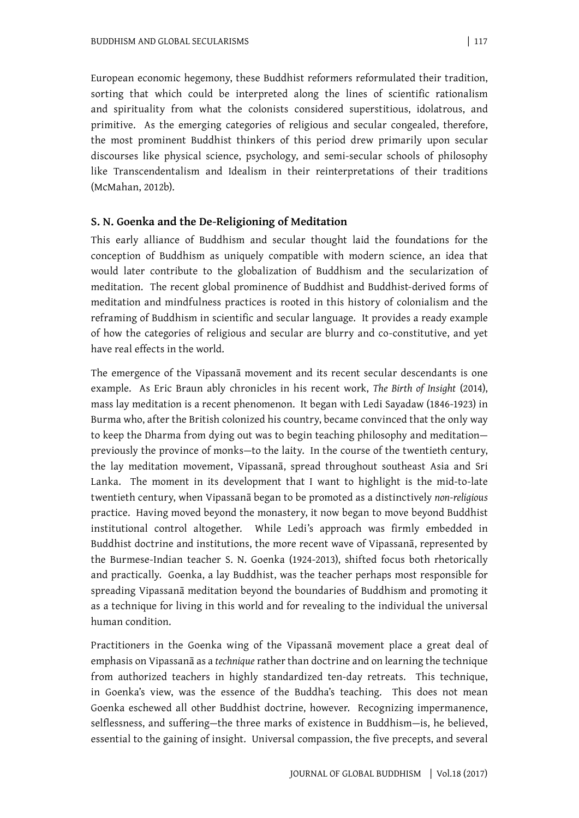European economic hegemony, these Buddhist reformers reformulated their tradition, sorting that which could be interpreted along the lines of scientific rationalism and spirituality from what the colonists considered superstitious, idolatrous, and primitive. As the emerging categories of religious and secular congealed, therefore, the most prominent Buddhist thinkers of this period drew primarily upon secular discourses like physical science, psychology, and semi-secular schools of philosophy like Transcendentalism and Idealism in their reinterpretations of their traditions (McMahan, 2012b).

## **S. N. Goenka and the De-Religioning of Meditation**

This early alliance of Buddhism and secular thought laid the foundations for the conception of Buddhism as uniquely compatible with modern science, an idea that would later contribute to the globalization of Buddhism and the secularization of meditation. The recent global prominence of Buddhist and Buddhist-derived forms of meditation and mindfulness practices is rooted in this history of colonialism and the reframing of Buddhism in scientific and secular language. It provides a ready example of how the categories of religious and secular are blurry and co-constitutive, and yet have real effects in the world.

The emergence of the Vipassanā movement and its recent secular descendants is one example. As Eric Braun ably chronicles in his recent work, *The Birth of Insight* (2014), mass lay meditation is a recent phenomenon. It began with Ledi Sayadaw (1846-1923) in Burma who, after the British colonized his country, became convinced that the only way to keep the Dharma from dying out was to begin teaching philosophy and meditation previously the province of monks—to the laity. In the course of the twentieth century, the lay meditation movement, Vipassanā, spread throughout southeast Asia and Sri Lanka. The moment in its development that I want to highlight is the mid-to-late twentieth century, when Vipassanā began to be promoted as a distinctively *non-religious* practice. Having moved beyond the monastery, it now began to move beyond Buddhist institutional control altogether. While Ledi's approach was firmly embedded in Buddhist doctrine and institutions, the more recent wave of Vipassanā, represented by the Burmese-Indian teacher S. N. Goenka (1924-2013), shifted focus both rhetorically and practically. Goenka, a lay Buddhist, was the teacher perhaps most responsible for spreading Vipassanā meditation beyond the boundaries of Buddhism and promoting it as a technique for living in this world and for revealing to the individual the universal human condition.

Practitioners in the Goenka wing of the Vipassanā movement place a great deal of emphasis on Vipassanā as a *technique* rather than doctrine and on learning the technique from authorized teachers in highly standardized ten-day retreats. This technique, in Goenka's view, was the essence of the Buddha's teaching. This does not mean Goenka eschewed all other Buddhist doctrine, however. Recognizing impermanence, selflessness, and suffering—the three marks of existence in Buddhism—is, he believed, essential to the gaining of insight. Universal compassion, the five precepts, and several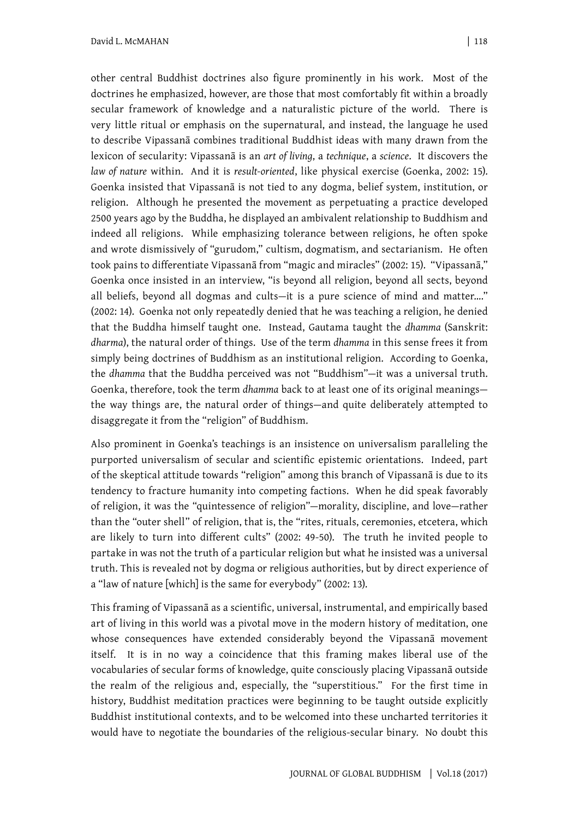other central Buddhist doctrines also figure prominently in his work. Most of the doctrines he emphasized, however, are those that most comfortably fit within a broadly secular framework of knowledge and a naturalistic picture of the world. There is very little ritual or emphasis on the supernatural, and instead, the language he used to describe Vipassanā combines traditional Buddhist ideas with many drawn from the lexicon of secularity: Vipassanā is an *art of living*, a *technique*, a *science*. It discovers the *law of nature* within. And it is *result-oriented*, like physical exercise (Goenka, 2002: 15). Goenka insisted that Vipassanā is not tied to any dogma, belief system, institution, or religion. Although he presented the movement as perpetuating a practice developed 2500 years ago by the Buddha, he displayed an ambivalent relationship to Buddhism and indeed all religions. While emphasizing tolerance between religions, he often spoke and wrote dismissively of "gurudom," cultism, dogmatism, and sectarianism. He often took pains to differentiate Vipassanā from "magic and miracles" (2002: 15). "Vipassanā," Goenka once insisted in an interview, "is beyond all religion, beyond all sects, beyond all beliefs, beyond all dogmas and cults—it is a pure science of mind and matter…." (2002: 14). Goenka not only repeatedly denied that he was teaching a religion, he denied that the Buddha himself taught one. Instead, Gautama taught the *dhamma* (Sanskrit: *dharma*), the natural order of things. Use of the term *dhamma* in this sense frees it from simply being doctrines of Buddhism as an institutional religion. According to Goenka, the *dhamma* that the Buddha perceived was not "Buddhism"—it was a universal truth. Goenka, therefore, took the term *dhamma* back to at least one of its original meanings the way things are, the natural order of things—and quite deliberately attempted to disaggregate it from the "religion" of Buddhism.

Also prominent in Goenka's teachings is an insistence on universalism paralleling the purported universalism of secular and scientific epistemic orientations. Indeed, part of the skeptical attitude towards "religion" among this branch of Vipassanā is due to its tendency to fracture humanity into competing factions. When he did speak favorably of religion, it was the "quintessence of religion"—morality, discipline, and love—rather than the "outer shell" of religion, that is, the "rites, rituals, ceremonies, etcetera, which are likely to turn into different cults" (2002: 49-50). The truth he invited people to partake in was not the truth of a particular religion but what he insisted was a universal truth. This is revealed not by dogma or religious authorities, but by direct experience of a "law of nature [which] is the same for everybody" (2002: 13).

This framing of Vipassanā as a scientific, universal, instrumental, and empirically based art of living in this world was a pivotal move in the modern history of meditation, one whose consequences have extended considerably beyond the Vipassanā movement itself. It is in no way a coincidence that this framing makes liberal use of the vocabularies of secular forms of knowledge, quite consciously placing Vipassanā outside the realm of the religious and, especially, the "superstitious." For the first time in history, Buddhist meditation practices were beginning to be taught outside explicitly Buddhist institutional contexts, and to be welcomed into these uncharted territories it would have to negotiate the boundaries of the religious-secular binary. No doubt this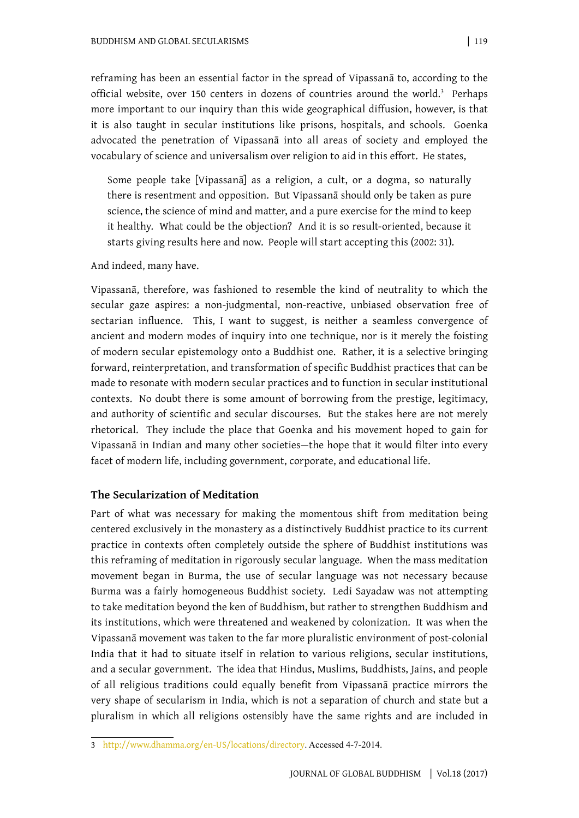reframing has been an essential factor in the spread of Vipassanā to, according to the official website, over 150 centers in dozens of countries around the world.<sup>3</sup> Perhaps more important to our inquiry than this wide geographical diffusion, however, is that it is also taught in secular institutions like prisons, hospitals, and schools. Goenka advocated the penetration of Vipassanā into all areas of society and employed the vocabulary of science and universalism over religion to aid in this effort. He states,

Some people take [Vipassanā] as a religion, a cult, or a dogma, so naturally there is resentment and opposition. But Vipassanā should only be taken as pure science, the science of mind and matter, and a pure exercise for the mind to keep it healthy. What could be the objection? And it is so result-oriented, because it starts giving results here and now. People will start accepting this (2002: 31).

And indeed, many have.

Vipassanā, therefore, was fashioned to resemble the kind of neutrality to which the secular gaze aspires: a non-judgmental, non-reactive, unbiased observation free of sectarian influence. This, I want to suggest, is neither a seamless convergence of ancient and modern modes of inquiry into one technique, nor is it merely the foisting of modern secular epistemology onto a Buddhist one. Rather, it is a selective bringing forward, reinterpretation, and transformation of specific Buddhist practices that can be made to resonate with modern secular practices and to function in secular institutional contexts. No doubt there is some amount of borrowing from the prestige, legitimacy, and authority of scientific and secular discourses. But the stakes here are not merely rhetorical. They include the place that Goenka and his movement hoped to gain for Vipassanā in Indian and many other societies—the hope that it would filter into every facet of modern life, including government, corporate, and educational life.

## **The Secularization of Meditation**

Part of what was necessary for making the momentous shift from meditation being centered exclusively in the monastery as a distinctively Buddhist practice to its current practice in contexts often completely outside the sphere of Buddhist institutions was this reframing of meditation in rigorously secular language. When the mass meditation movement began in Burma, the use of secular language was not necessary because Burma was a fairly homogeneous Buddhist society. Ledi Sayadaw was not attempting to take meditation beyond the ken of Buddhism, but rather to strengthen Buddhism and its institutions, which were threatened and weakened by colonization. It was when the Vipassanā movement was taken to the far more pluralistic environment of post-colonial India that it had to situate itself in relation to various religions, secular institutions, and a secular government. The idea that Hindus, Muslims, Buddhists, Jains, and people of all religious traditions could equally benefit from Vipassanā practice mirrors the very shape of secularism in India, which is not a separation of church and state but a pluralism in which all religions ostensibly have the same rights and are included in

<sup>3</sup> http://www.dhamma.org/en-US/locations/directory. Accessed 4-7-2014.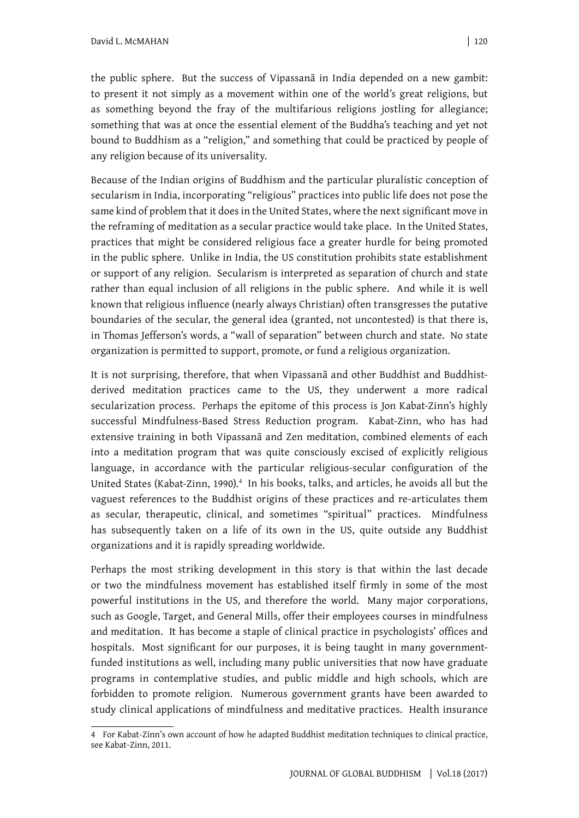the public sphere. But the success of Vipassanā in India depended on a new gambit: to present it not simply as a movement within one of the world's great religions, but as something beyond the fray of the multifarious religions jostling for allegiance; something that was at once the essential element of the Buddha's teaching and yet not bound to Buddhism as a "religion," and something that could be practiced by people of any religion because of its universality.

Because of the Indian origins of Buddhism and the particular pluralistic conception of secularism in India, incorporating "religious" practices into public life does not pose the same kind of problem that it does in the United States, where the next significant move in the reframing of meditation as a secular practice would take place. In the United States, practices that might be considered religious face a greater hurdle for being promoted in the public sphere. Unlike in India, the US constitution prohibits state establishment or support of any religion. Secularism is interpreted as separation of church and state rather than equal inclusion of all religions in the public sphere. And while it is well known that religious influence (nearly always Christian) often transgresses the putative boundaries of the secular, the general idea (granted, not uncontested) is that there is, in Thomas Jefferson's words, a "wall of separation" between church and state. No state organization is permitted to support, promote, or fund a religious organization.

It is not surprising, therefore, that when Vipassanā and other Buddhist and Buddhistderived meditation practices came to the US, they underwent a more radical secularization process. Perhaps the epitome of this process is Jon Kabat-Zinn's highly successful Mindfulness-Based Stress Reduction program. Kabat-Zinn, who has had extensive training in both Vipassanā and Zen meditation, combined elements of each into a meditation program that was quite consciously excised of explicitly religious language, in accordance with the particular religious-secular configuration of the United States (Kabat-Zinn, 1990).<sup>4</sup> In his books, talks, and articles, he avoids all but the vaguest references to the Buddhist origins of these practices and re-articulates them as secular, therapeutic, clinical, and sometimes "spiritual" practices. Mindfulness has subsequently taken on a life of its own in the US, quite outside any Buddhist organizations and it is rapidly spreading worldwide.

Perhaps the most striking development in this story is that within the last decade or two the mindfulness movement has established itself firmly in some of the most powerful institutions in the US, and therefore the world. Many major corporations, such as Google, Target, and General Mills, offer their employees courses in mindfulness and meditation. It has become a staple of clinical practice in psychologists' offices and hospitals. Most significant for our purposes, it is being taught in many governmentfunded institutions as well, including many public universities that now have graduate programs in contemplative studies, and public middle and high schools, which are forbidden to promote religion. Numerous government grants have been awarded to study clinical applications of mindfulness and meditative practices. Health insurance

<sup>4</sup> For Kabat-Zinn's own account of how he adapted Buddhist meditation techniques to clinical practice, see Kabat-Zinn, 2011.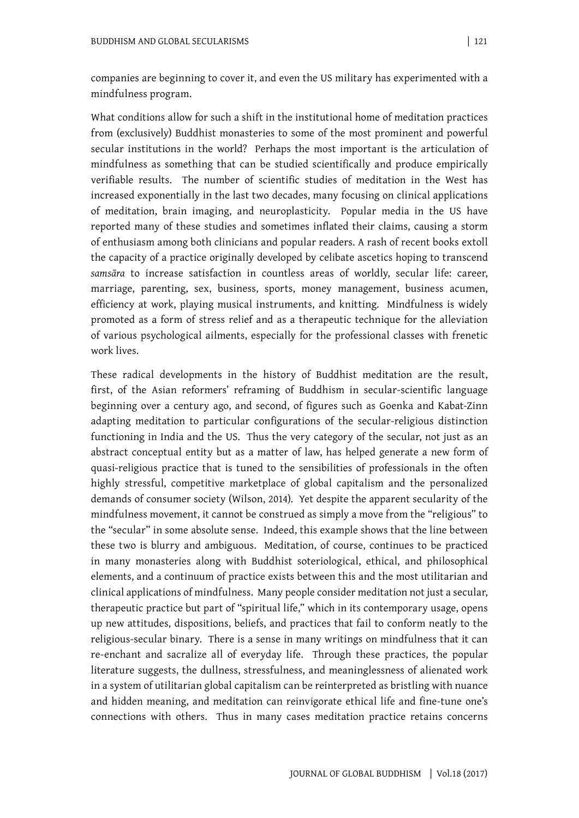companies are beginning to cover it, and even the US military has experimented with a mindfulness program.

What conditions allow for such a shift in the institutional home of meditation practices from (exclusively) Buddhist monasteries to some of the most prominent and powerful secular institutions in the world? Perhaps the most important is the articulation of mindfulness as something that can be studied scientifically and produce empirically verifiable results. The number of scientific studies of meditation in the West has increased exponentially in the last two decades, many focusing on clinical applications of meditation, brain imaging, and neuroplasticity. Popular media in the US have reported many of these studies and sometimes inflated their claims, causing a storm of enthusiasm among both clinicians and popular readers. A rash of recent books extoll the capacity of a practice originally developed by celibate ascetics hoping to transcend *samsāra* to increase satisfaction in countless areas of worldly, secular life: career, marriage, parenting, sex, business, sports, money management, business acumen, efficiency at work, playing musical instruments, and knitting. Mindfulness is widely promoted as a form of stress relief and as a therapeutic technique for the alleviation of various psychological ailments, especially for the professional classes with frenetic work lives.

These radical developments in the history of Buddhist meditation are the result, first, of the Asian reformers' reframing of Buddhism in secular-scientific language beginning over a century ago, and second, of figures such as Goenka and Kabat-Zinn adapting meditation to particular configurations of the secular-religious distinction functioning in India and the US. Thus the very category of the secular, not just as an abstract conceptual entity but as a matter of law, has helped generate a new form of quasi-religious practice that is tuned to the sensibilities of professionals in the often highly stressful, competitive marketplace of global capitalism and the personalized demands of consumer society (Wilson, 2014). Yet despite the apparent secularity of the mindfulness movement, it cannot be construed as simply a move from the "religious" to the "secular" in some absolute sense. Indeed, this example shows that the line between these two is blurry and ambiguous. Meditation, of course, continues to be practiced in many monasteries along with Buddhist soteriological, ethical, and philosophical elements, and a continuum of practice exists between this and the most utilitarian and clinical applications of mindfulness. Many people consider meditation not just a secular, therapeutic practice but part of "spiritual life," which in its contemporary usage, opens up new attitudes, dispositions, beliefs, and practices that fail to conform neatly to the religious-secular binary. There is a sense in many writings on mindfulness that it can re-enchant and sacralize all of everyday life. Through these practices, the popular literature suggests, the dullness, stressfulness, and meaninglessness of alienated work in a system of utilitarian global capitalism can be reinterpreted as bristling with nuance and hidden meaning, and meditation can reinvigorate ethical life and fine-tune one's connections with others. Thus in many cases meditation practice retains concerns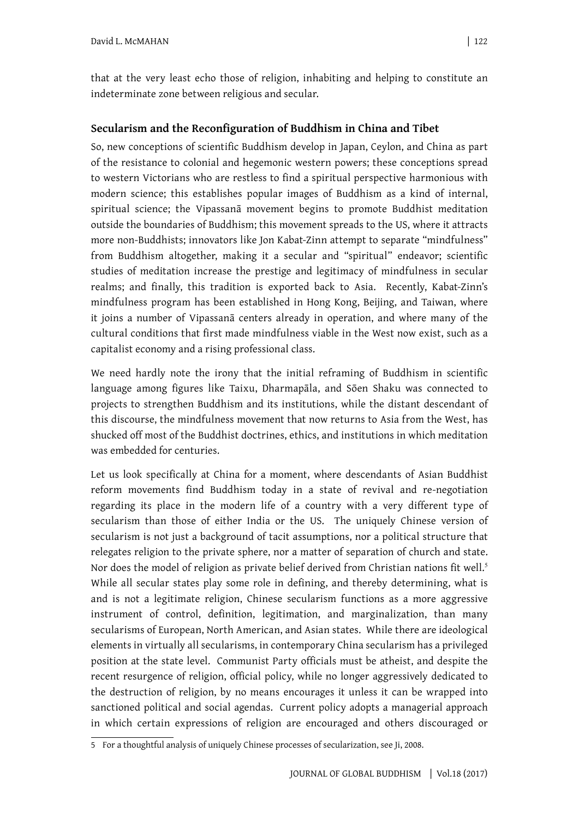that at the very least echo those of religion, inhabiting and helping to constitute an indeterminate zone between religious and secular.

# **Secularism and the Reconfiguration of Buddhism in China and Tibet**

So, new conceptions of scientific Buddhism develop in Japan, Ceylon, and China as part of the resistance to colonial and hegemonic western powers; these conceptions spread to western Victorians who are restless to find a spiritual perspective harmonious with modern science; this establishes popular images of Buddhism as a kind of internal, spiritual science; the Vipassanā movement begins to promote Buddhist meditation outside the boundaries of Buddhism; this movement spreads to the US, where it attracts more non-Buddhists; innovators like Jon Kabat-Zinn attempt to separate "mindfulness" from Buddhism altogether, making it a secular and "spiritual" endeavor; scientific studies of meditation increase the prestige and legitimacy of mindfulness in secular realms; and finally, this tradition is exported back to Asia. Recently, Kabat-Zinn's mindfulness program has been established in Hong Kong, Beijing, and Taiwan, where it joins a number of Vipassanā centers already in operation, and where many of the cultural conditions that first made mindfulness viable in the West now exist, such as a capitalist economy and a rising professional class.

We need hardly note the irony that the initial reframing of Buddhism in scientific language among figures like Taixu, Dharmapāla, and Sōen Shaku was connected to projects to strengthen Buddhism and its institutions, while the distant descendant of this discourse, the mindfulness movement that now returns to Asia from the West, has shucked off most of the Buddhist doctrines, ethics, and institutions in which meditation was embedded for centuries.

Let us look specifically at China for a moment, where descendants of Asian Buddhist reform movements find Buddhism today in a state of revival and re-negotiation regarding its place in the modern life of a country with a very different type of secularism than those of either India or the US. The uniquely Chinese version of secularism is not just a background of tacit assumptions, nor a political structure that relegates religion to the private sphere, nor a matter of separation of church and state. Nor does the model of religion as private belief derived from Christian nations fit well.<sup>5</sup> While all secular states play some role in defining, and thereby determining, what is and is not a legitimate religion, Chinese secularism functions as a more aggressive instrument of control, definition, legitimation, and marginalization, than many secularisms of European, North American, and Asian states. While there are ideological elements in virtually all secularisms, in contemporary China secularism has a privileged position at the state level. Communist Party officials must be atheist, and despite the recent resurgence of religion, official policy, while no longer aggressively dedicated to the destruction of religion, by no means encourages it unless it can be wrapped into sanctioned political and social agendas. Current policy adopts a managerial approach in which certain expressions of religion are encouraged and others discouraged or

<sup>5</sup> For a thoughtful analysis of uniquely Chinese processes of secularization, see Ji, 2008.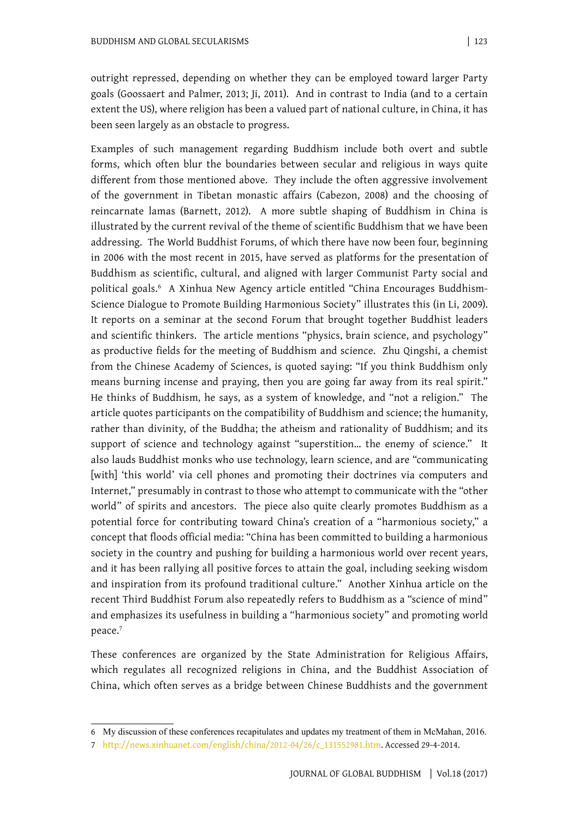outright repressed, depending on whether they can be employed toward larger Party goals (Goossaert and Palmer, 2013; Ji, 2011). And in contrast to India (and to a certain extent the US), where religion has been a valued part of national culture, in China, it has been seen largely as an obstacle to progress.

Examples of such management regarding Buddhism include both overt and subtle forms, which often blur the boundaries between secular and religious in ways quite different from those mentioned above. They include the often aggressive involvement of the government in Tibetan monastic affairs (Cabezon, 2008) and the choosing of reincarnate lamas (Barnett, 2012). A more subtle shaping of Buddhism in China is illustrated by the current revival of the theme of scientific Buddhism that we have been addressing. The World Buddhist Forums, of which there have now been four, beginning in 2006 with the most recent in 2015, have served as platforms for the presentation of Buddhism as scientific, cultural, and aligned with larger Communist Party social and political goals.<sup>6</sup> A Xinhua New Agency article entitled "China Encourages Buddhism-Science Dialogue to Promote Building Harmonious Society" illustrates this (in Li, 2009). It reports on a seminar at the second Forum that brought together Buddhist leaders and scientific thinkers. The article mentions "physics, brain science, and psychology" as productive fields for the meeting of Buddhism and science. Zhu Qingshi, a chemist from the Chinese Academy of Sciences, is quoted saying: "If you think Buddhism only means burning incense and praying, then you are going far away from its real spirit." He thinks of Buddhism, he says, as a system of knowledge, and "not a religion." The article quotes participants on the compatibility of Buddhism and science; the humanity, rather than divinity, of the Buddha; the atheism and rationality of Buddhism; and its support of science and technology against "superstition… the enemy of science." It also lauds Buddhist monks who use technology, learn science, and are "communicating [with] 'this world' via cell phones and promoting their doctrines via computers and Internet," presumably in contrast to those who attempt to communicate with the "other world" of spirits and ancestors. The piece also quite clearly promotes Buddhism as a potential force for contributing toward China's creation of a "harmonious society," a concept that floods official media: "China has been committed to building a harmonious society in the country and pushing for building a harmonious world over recent years, and it has been rallying all positive forces to attain the goal, including seeking wisdom and inspiration from its profound traditional culture." Another Xinhua article on the recent Third Buddhist Forum also repeatedly refers to Buddhism as a "science of mind" and emphasizes its usefulness in building a "harmonious society" and promoting world peace.<sup>7</sup>

These conferences are organized by the State Administration for Religious Affairs, which regulates all recognized religions in China, and the Buddhist Association of China, which often serves as a bridge between Chinese Buddhists and the government

<sup>6</sup> My discussion of these conferences recapitulates and updates my treatment of them in McMahan, 2016.

<sup>7</sup> http://news.xinhuanet.com/english/china/2012-04/26/c\_131552981.htm. Accessed 29-4-2014.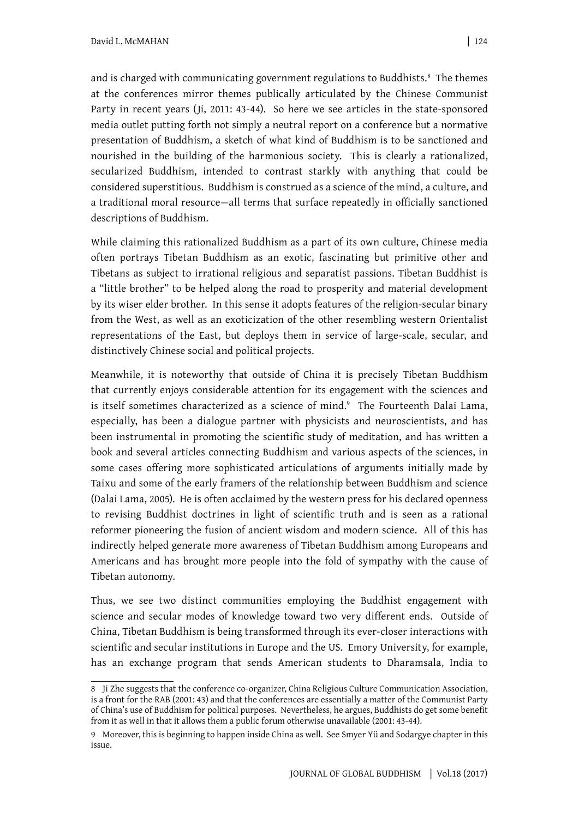and is charged with communicating government regulations to Buddhists.<sup>8</sup> The themes at the conferences mirror themes publically articulated by the Chinese Communist Party in recent years (Ji, 2011: 43-44). So here we see articles in the state-sponsored media outlet putting forth not simply a neutral report on a conference but a normative presentation of Buddhism, a sketch of what kind of Buddhism is to be sanctioned and nourished in the building of the harmonious society. This is clearly a rationalized, secularized Buddhism, intended to contrast starkly with anything that could be considered superstitious. Buddhism is construed as a science of the mind, a culture, and a traditional moral resource—all terms that surface repeatedly in officially sanctioned descriptions of Buddhism.

While claiming this rationalized Buddhism as a part of its own culture, Chinese media often portrays Tibetan Buddhism as an exotic, fascinating but primitive other and Tibetans as subject to irrational religious and separatist passions. Tibetan Buddhist is a "little brother" to be helped along the road to prosperity and material development by its wiser elder brother. In this sense it adopts features of the religion-secular binary from the West, as well as an exoticization of the other resembling western Orientalist representations of the East, but deploys them in service of large-scale, secular, and distinctively Chinese social and political projects.

Meanwhile, it is noteworthy that outside of China it is precisely Tibetan Buddhism that currently enjoys considerable attention for its engagement with the sciences and is itself sometimes characterized as a science of mind.<sup>9</sup> The Fourteenth Dalai Lama, especially, has been a dialogue partner with physicists and neuroscientists, and has been instrumental in promoting the scientific study of meditation, and has written a book and several articles connecting Buddhism and various aspects of the sciences, in some cases offering more sophisticated articulations of arguments initially made by Taixu and some of the early framers of the relationship between Buddhism and science (Dalai Lama, 2005). He is often acclaimed by the western press for his declared openness to revising Buddhist doctrines in light of scientific truth and is seen as a rational reformer pioneering the fusion of ancient wisdom and modern science. All of this has indirectly helped generate more awareness of Tibetan Buddhism among Europeans and Americans and has brought more people into the fold of sympathy with the cause of Tibetan autonomy.

Thus, we see two distinct communities employing the Buddhist engagement with science and secular modes of knowledge toward two very different ends. Outside of China, Tibetan Buddhism is being transformed through its ever-closer interactions with scientific and secular institutions in Europe and the US. Emory University, for example, has an exchange program that sends American students to Dharamsala, India to

<sup>8</sup> Ji Zhe suggests that the conference co-organizer, China Religious Culture Communication Association, is a front for the RAB (2001: 43) and that the conferences are essentially a matter of the Communist Party of China's use of Buddhism for political purposes. Nevertheless, he argues, Buddhists do get some benefit from it as well in that it allows them a public forum otherwise unavailable (2001: 43-44).

<sup>9</sup> Moreover, this is beginning to happen inside China as well. See Smyer Yü and Sodargye chapter in this issue.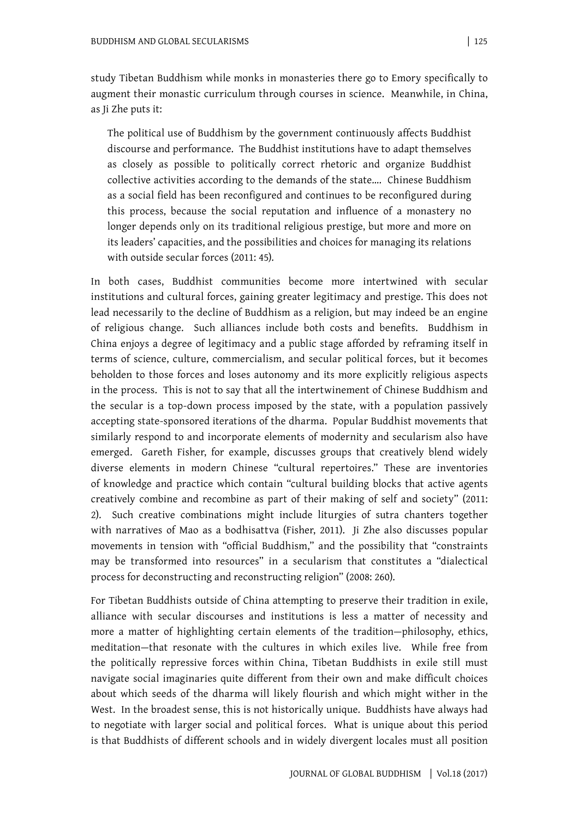study Tibetan Buddhism while monks in monasteries there go to Emory specifically to augment their monastic curriculum through courses in science. Meanwhile, in China, as Ji Zhe puts it:

The political use of Buddhism by the government continuously affects Buddhist discourse and performance. The Buddhist institutions have to adapt themselves as closely as possible to politically correct rhetoric and organize Buddhist collective activities according to the demands of the state…. Chinese Buddhism as a social field has been reconfigured and continues to be reconfigured during this process, because the social reputation and influence of a monastery no longer depends only on its traditional religious prestige, but more and more on its leaders' capacities, and the possibilities and choices for managing its relations with outside secular forces (2011: 45).

In both cases, Buddhist communities become more intertwined with secular institutions and cultural forces, gaining greater legitimacy and prestige. This does not lead necessarily to the decline of Buddhism as a religion, but may indeed be an engine of religious change. Such alliances include both costs and benefits. Buddhism in China enjoys a degree of legitimacy and a public stage afforded by reframing itself in terms of science, culture, commercialism, and secular political forces, but it becomes beholden to those forces and loses autonomy and its more explicitly religious aspects in the process. This is not to say that all the intertwinement of Chinese Buddhism and the secular is a top-down process imposed by the state, with a population passively accepting state-sponsored iterations of the dharma. Popular Buddhist movements that similarly respond to and incorporate elements of modernity and secularism also have emerged. Gareth Fisher, for example, discusses groups that creatively blend widely diverse elements in modern Chinese "cultural repertoires." These are inventories of knowledge and practice which contain "cultural building blocks that active agents creatively combine and recombine as part of their making of self and society" (2011: 2). Such creative combinations might include liturgies of sutra chanters together with narratives of Mao as a bodhisattva (Fisher, 2011). Ji Zhe also discusses popular movements in tension with "official Buddhism," and the possibility that "constraints may be transformed into resources" in a secularism that constitutes a "dialectical process for deconstructing and reconstructing religion" (2008: 260).

For Tibetan Buddhists outside of China attempting to preserve their tradition in exile, alliance with secular discourses and institutions is less a matter of necessity and more a matter of highlighting certain elements of the tradition—philosophy, ethics, meditation—that resonate with the cultures in which exiles live. While free from the politically repressive forces within China, Tibetan Buddhists in exile still must navigate social imaginaries quite different from their own and make difficult choices about which seeds of the dharma will likely flourish and which might wither in the West. In the broadest sense, this is not historically unique. Buddhists have always had to negotiate with larger social and political forces. What is unique about this period is that Buddhists of different schools and in widely divergent locales must all position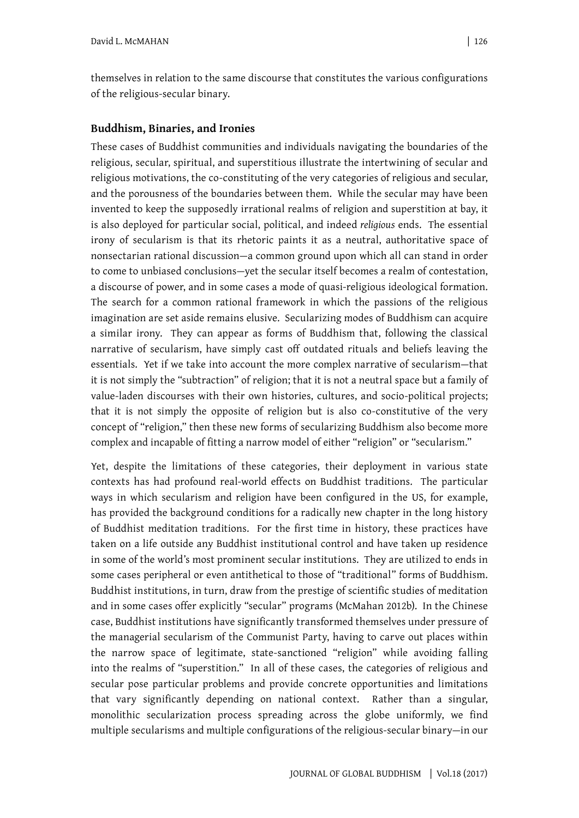# **Buddhism, Binaries, and Ironies**

These cases of Buddhist communities and individuals navigating the boundaries of the religious, secular, spiritual, and superstitious illustrate the intertwining of secular and religious motivations, the co-constituting of the very categories of religious and secular, and the porousness of the boundaries between them. While the secular may have been invented to keep the supposedly irrational realms of religion and superstition at bay, it is also deployed for particular social, political, and indeed *religious* ends. The essential irony of secularism is that its rhetoric paints it as a neutral, authoritative space of nonsectarian rational discussion—a common ground upon which all can stand in order to come to unbiased conclusions—yet the secular itself becomes a realm of contestation, a discourse of power, and in some cases a mode of quasi-religious ideological formation. The search for a common rational framework in which the passions of the religious imagination are set aside remains elusive. Secularizing modes of Buddhism can acquire a similar irony. They can appear as forms of Buddhism that, following the classical narrative of secularism, have simply cast off outdated rituals and beliefs leaving the essentials. Yet if we take into account the more complex narrative of secularism—that it is not simply the "subtraction" of religion; that it is not a neutral space but a family of value-laden discourses with their own histories, cultures, and socio-political projects; that it is not simply the opposite of religion but is also co-constitutive of the very concept of "religion," then these new forms of secularizing Buddhism also become more complex and incapable of fitting a narrow model of either "religion" or "secularism."

Yet, despite the limitations of these categories, their deployment in various state contexts has had profound real-world effects on Buddhist traditions. The particular ways in which secularism and religion have been configured in the US, for example, has provided the background conditions for a radically new chapter in the long history of Buddhist meditation traditions. For the first time in history, these practices have taken on a life outside any Buddhist institutional control and have taken up residence in some of the world's most prominent secular institutions. They are utilized to ends in some cases peripheral or even antithetical to those of "traditional" forms of Buddhism. Buddhist institutions, in turn, draw from the prestige of scientific studies of meditation and in some cases offer explicitly "secular" programs (McMahan 2012b). In the Chinese case, Buddhist institutions have significantly transformed themselves under pressure of the managerial secularism of the Communist Party, having to carve out places within the narrow space of legitimate, state-sanctioned "religion" while avoiding falling into the realms of "superstition." In all of these cases, the categories of religious and secular pose particular problems and provide concrete opportunities and limitations that vary significantly depending on national context. Rather than a singular, monolithic secularization process spreading across the globe uniformly, we find multiple secularisms and multiple configurations of the religious-secular binary—in our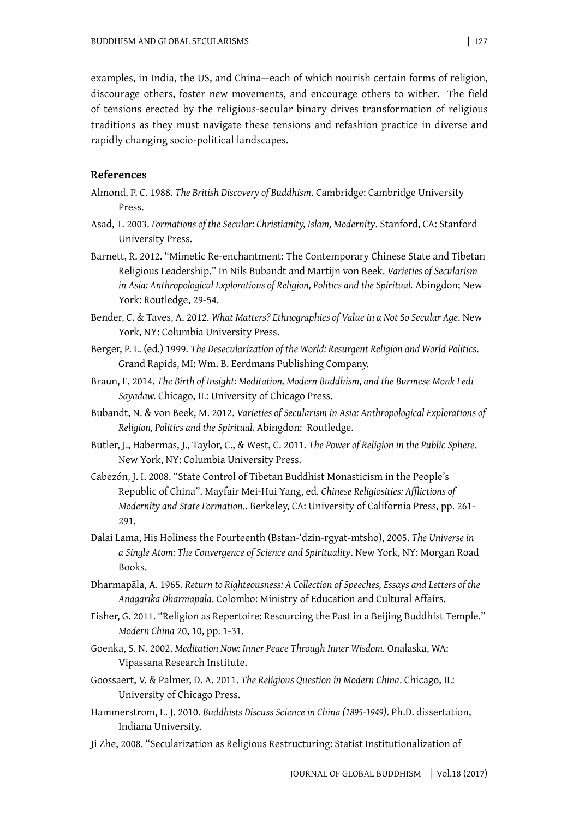examples, in India, the US, and China—each of which nourish certain forms of religion, discourage others, foster new movements, and encourage others to wither. The field of tensions erected by the religious-secular binary drives transformation of religious traditions as they must navigate these tensions and refashion practice in diverse and rapidly changing socio-political landscapes.

### **References**

- Almond, P. C. 1988. *The British Discovery of Buddhism*. Cambridge: Cambridge University Press.
- Asad, T. 2003. *Formations of the Secular: Christianity, Islam, Modernity*. Stanford, CA: Stanford University Press.
- Barnett, R. 2012. "Mimetic Re-enchantment: The Contemporary Chinese State and Tibetan Religious Leadership." In Nils Bubandt and Martijn von Beek. *Varieties of Secularism in Asia: Anthropological Explorations of Religion, Politics and the Spiritual.* Abingdon; New York: Routledge, 29-54.
- Bender, C. & Taves, A. 2012. *What Matters? Ethnographies of Value in a Not So Secular Age*. New York, NY: Columbia University Press.
- Berger, P. L. (ed.) 1999. *The Desecularization of the World: Resurgent Religion and World Politics*. Grand Rapids, MI: Wm. B. Eerdmans Publishing Company.
- Braun, E. 2014. *The Birth of Insight: Meditation, Modern Buddhism, and the Burmese Monk Ledi Sayadaw.* Chicago, IL: University of Chicago Press.
- Bubandt, N. & von Beek, M. 2012. *Varieties of Secularism in Asia: Anthropological Explorations of Religion, Politics and the Spiritual.* Abingdon: Routledge.
- Butler, J., Habermas, J., Taylor, C., & West, C. 2011. *The Power of Religion in the Public Sphere*. New York, NY: Columbia University Press.
- Cabezón, J. I. 2008. "State Control of Tibetan Buddhist Monasticism in the People's Republic of China". Mayfair Mei-Hui Yang, ed. *Chinese Religiosities: Afflictions of Modernity and State Formation*.. Berkeley, CA: University of California Press, pp. 261- 291.
- Dalai Lama, His Holiness the Fourteenth (Bstan-'dzin-rgyat-mtsho), 2005. *The Universe in a Single Atom: The Convergence of Science and Spirituality*. New York, NY: Morgan Road Books.
- Dharmapāla, A. 1965. *Return to Righteousness: A Collection of Speeches, Essays and Letters of the Anagarika Dharmapala*. Colombo: Ministry of Education and Cultural Affairs.
- Fisher, G. 2011. "Religion as Repertoire: Resourcing the Past in a Beijing Buddhist Temple." *Modern China* 20, 10, pp. 1-31.
- Goenka, S. N. 2002. *Meditation Now: Inner Peace Through Inner Wisdom.* Onalaska, WA: Vipassana Research Institute.
- Goossaert, V. & Palmer, D. A. 2011. *The Religious Question in Modern China*. Chicago, IL: University of Chicago Press.
- Hammerstrom, E. J. 2010. *Buddhists Discuss Science in China (1895-1949)*. Ph.D. dissertation, Indiana University.
- Ji Zhe, 2008. "Secularization as Religious Restructuring: Statist Institutionalization of